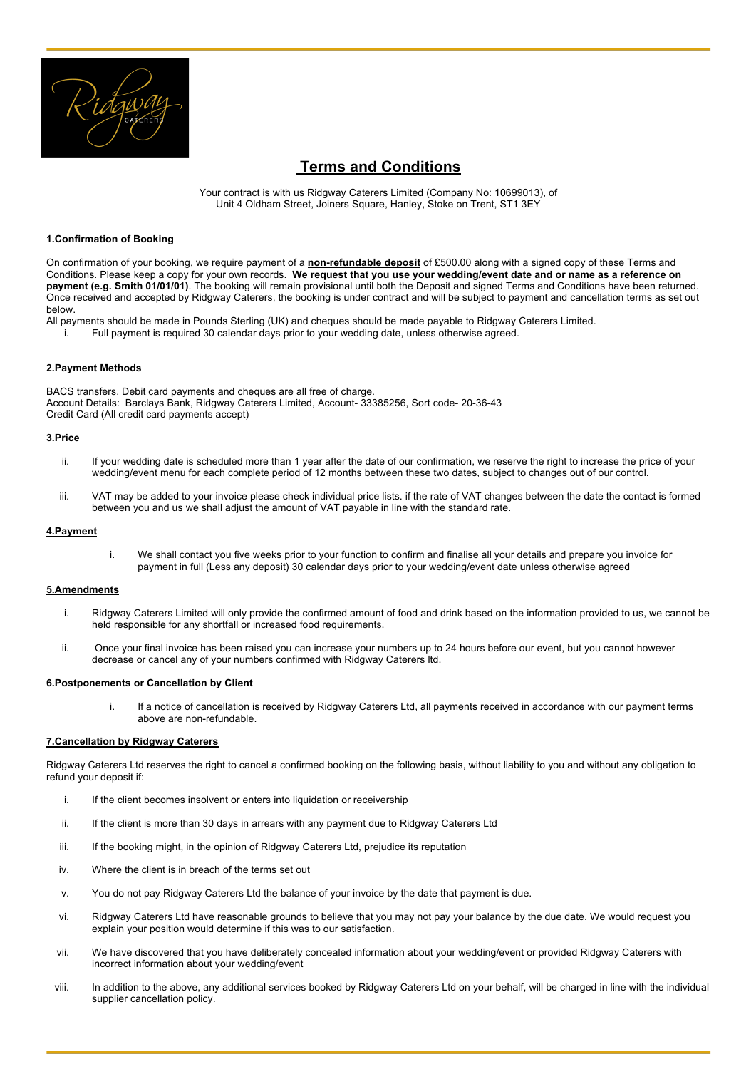

# **Terms and Conditions**

Your contract is with us Ridgway Caterers Limited (Company No: 10699013), of Unit 4 Oldham Street, Joiners Square, Hanley, Stoke on Trent, ST1 3EY

# **1.Confirmation of Booking**

On confirmation of your booking, we require payment of a **non-refundable deposit** of £500.00 along with a signed copy of these Terms and Conditions. Please keep a copy for your own records. **We request that you use your wedding/event date and or name as a reference on payment (e.g. Smith 01/01/01)**. The booking will remain provisional until both the Deposit and signed Terms and Conditions have been returned. Once received and accepted by Ridgway Caterers, the booking is under contract and will be subject to payment and cancellation terms as set out below.

- All payments should be made in Pounds Sterling (UK) and cheques should be made payable to Ridgway Caterers Limited.
	- $\dot{a}$  Full payment is required 30 calendar days prior to your wedding date, unless otherwise agreed.

## **2.Payment Methods**

BACS transfers, Debit card payments and cheques are all free of charge. Account Details: Barclays Bank, Ridgway Caterers Limited, Account- 33385256, Sort code- 20-36-43 Credit Card (All credit card payments accept)

## **3.Price**

- ii. If your wedding date is scheduled more than 1 year after the date of our confirmation, we reserve the right to increase the price of your wedding/event menu for each complete period of 12 months between these two dates, subject to changes out of our control.
- iii. VAT may be added to your invoice please check individual price lists. if the rate of VAT changes between the date the contact is formed between you and us we shall adjust the amount of VAT payable in line with the standard rate.

### **4.Payment**

i. We shall contact you five weeks prior to your function to confirm and finalise all your details and prepare you invoice for payment in full (Less any deposit) 30 calendar days prior to your wedding/event date unless otherwise agreed

## **5.Amendments**

- i. Ridgway Caterers Limited will only provide the confirmed amount of food and drink based on the information provided to us, we cannot be held responsible for any shortfall or increased food requirements.
- ii. Once your final invoice has been raised you can increase your numbers up to 24 hours before our event, but you cannot however decrease or cancel any of your numbers confirmed with Ridgway Caterers ltd.

## **6.Postponements or Cancellation by Client**

If a notice of cancellation is received by Ridgway Caterers Ltd, all payments received in accordance with our payment terms above are non-refundable.

## **7.Cancellation by Ridgway Caterers**

Ridgway Caterers Ltd reserves the right to cancel a confirmed booking on the following basis, without liability to you and without any obligation to refund your deposit if:

- i. If the client becomes insolvent or enters into liquidation or receivership
- ii. If the client is more than 30 days in arrears with any payment due to Ridgway Caterers Ltd
- iii. If the booking might, in the opinion of Ridgway Caterers Ltd, prejudice its reputation
- iv. Where the client is in breach of the terms set out
- v. You do not pay Ridgway Caterers Ltd the balance of your invoice by the date that payment is due.
- vi. Ridgway Caterers Ltd have reasonable grounds to believe that you may not pay your balance by the due date. We would request you explain your position would determine if this was to our satisfaction.
- vii. We have discovered that you have deliberately concealed information about your wedding/event or provided Ridgway Caterers with incorrect information about your wedding/event
- viii. In addition to the above, any additional services booked by Ridgway Caterers Ltd on your behalf, will be charged in line with the individual supplier cancellation policy.